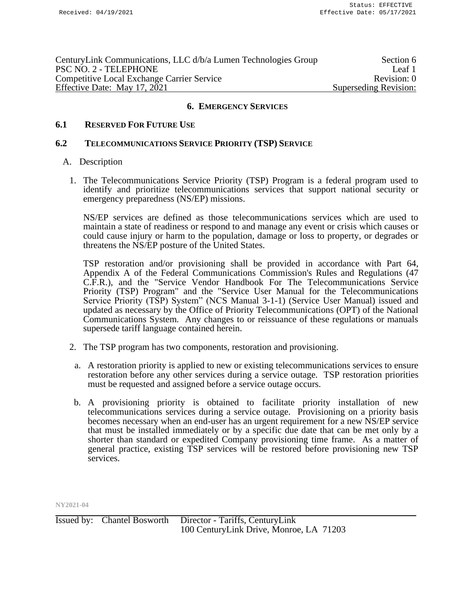| CenturyLink Communications, LLC d/b/a Lumen Technologies Group | Section 6             |
|----------------------------------------------------------------|-----------------------|
| PSC NO. 2 - TELEPHONE                                          | Leaf 1                |
| <b>Competitive Local Exchange Carrier Service</b>              | Revision: 0           |
| Effective Date: May 17, 2021                                   | Superseding Revision: |

# **6.1 RESERVED FOR FUTURE USE**

#### **6.2 TELECOMMUNICATIONS SERVICE PRIORITY (TSP) SERVICE**

### A. Description

1. The Telecommunications Service Priority (TSP) Program is a federal program used to identify and prioritize telecommunications services that support national security or emergency preparedness (NS/EP) missions.

NS/EP services are defined as those telecommunications services which are used to maintain a state of readiness or respond to and manage any event or crisis which causes or could cause injury or harm to the population, damage or loss to property, or degrades or threatens the NS/EP posture of the United States.

TSP restoration and/or provisioning shall be provided in accordance with Part 64, Appendix A of the Federal Communications Commission's Rules and Regulations (47 C.F.R.), and the "Service Vendor Handbook For The Telecommunications Service Priority (TSP) Program" and the "Service User Manual for the Telecommunications Service Priority (TSP) System" (NCS Manual 3-1-1) (Service User Manual) issued and updated as necessary by the Office of Priority Telecommunications (OPT) of the National Communications System. Any changes to or reissuance of these regulations or manuals supersede tariff language contained herein.

- 2. The TSP program has two components, restoration and provisioning.
- a. A restoration priority is applied to new or existing telecommunications services to ensure restoration before any other services during a service outage. TSP restoration priorities must be requested and assigned before a service outage occurs.
- b. A provisioning priority is obtained to facilitate priority installation of new telecommunications services during a service outage. Provisioning on a priority basis becomes necessary when an end-user has an urgent requirement for a new NS/EP service that must be installed immediately or by a specific due date that can be met only by a shorter than standard or expedited Company provisioning time frame. As a matter of general practice, existing TSP services will be restored before provisioning new TSP services.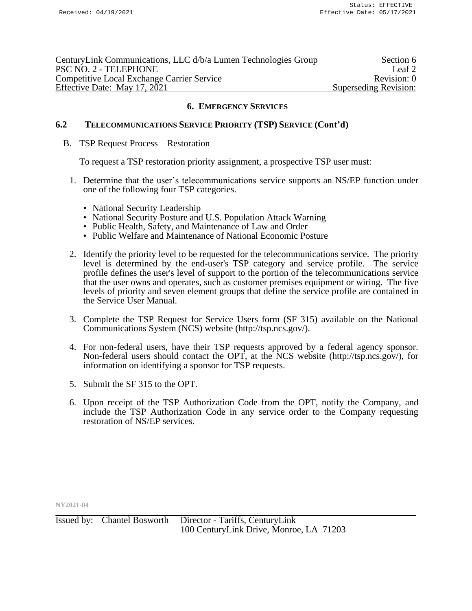| CenturyLink Communications, LLC d/b/a Lumen Technologies Group | Section 6             |
|----------------------------------------------------------------|-----------------------|
| PSC NO. 2 - TELEPHONE                                          | Leaf 2                |
| <b>Competitive Local Exchange Carrier Service</b>              | Revision: 0           |
| Effective Date: May 17, 2021                                   | Superseding Revision: |

# **6.2 TELECOMMUNICATIONS SERVICE PRIORITY (TSP) SERVICE (Cont'd)**

### B. TSP Request Process – Restoration

To request a TSP restoration priority assignment, a prospective TSP user must:

- 1. Determine that the user's telecommunications service supports an NS/EP function under one of the following four TSP categories.
	- National Security Leadership
	- National Security Posture and U.S. Population Attack Warning
	- Public Health, Safety, and Maintenance of Law and Order
	- Public Welfare and Maintenance of National Economic Posture
- 2. Identify the priority level to be requested for the telecommunications service. The priority level is determined by the end-user's TSP category and service profile. The service profile defines the user's level of support to the portion of the telecommunications service that the user owns and operates, such as customer premises equipment or wiring. The five levels of priority and seven element groups that define the service profile are contained in the Service User Manual.
- 3. Complete the TSP Request for Service Users form (SF 315) available on the National Communications System (NCS) website (http://tsp.ncs.gov/).
- 4. For non-federal users, have their TSP requests approved by a federal agency sponsor. Non-federal users should contact the OPT, at the NCS website (http://tsp.ncs.gov/), for information on identifying a sponsor for TSP requests.
- 5. Submit the SF 315 to the OPT.
- 6. Upon receipt of the TSP Authorization Code from the OPT, notify the Company, and include the TSP Authorization Code in any service order to the Company requesting restoration of NS/EP services.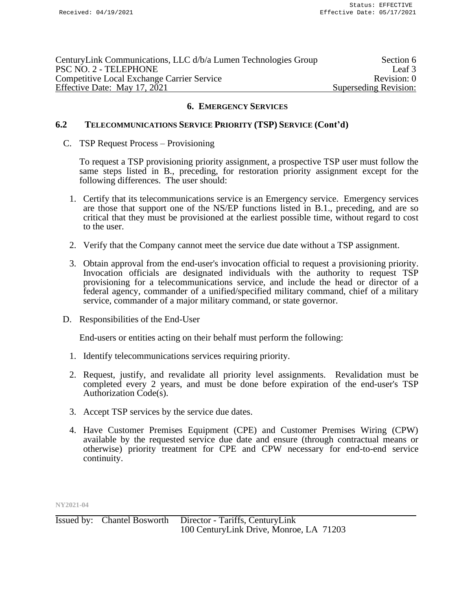| CenturyLink Communications, LLC d/b/a Lumen Technologies Group | Section 6             |
|----------------------------------------------------------------|-----------------------|
| PSC NO. 2 - TELEPHONE                                          | Leaf 3                |
| <b>Competitive Local Exchange Carrier Service</b>              | Revision: 0           |
| Effective Date: May 17, 2021                                   | Superseding Revision: |

## **6.2 TELECOMMUNICATIONS SERVICE PRIORITY (TSP) SERVICE (Cont'd)**

#### C. TSP Request Process – Provisioning

To request a TSP provisioning priority assignment, a prospective TSP user must follow the same steps listed in B., preceding, for restoration priority assignment except for the following differences. The user should:

- 1. Certify that its telecommunications service is an Emergency service. Emergency services are those that support one of the NS/EP functions listed in B.1., preceding, and are so critical that they must be provisioned at the earliest possible time, without regard to cost to the user.
- 2. Verify that the Company cannot meet the service due date without a TSP assignment.
- 3. Obtain approval from the end-user's invocation official to request a provisioning priority. Invocation officials are designated individuals with the authority to request TSP provisioning for a telecommunications service, and include the head or director of a federal agency, commander of a unified/specified military command, chief of a military service, commander of a major military command, or state governor.
- D. Responsibilities of the End-User

End-users or entities acting on their behalf must perform the following:

- 1. Identify telecommunications services requiring priority.
- 2. Request, justify, and revalidate all priority level assignments. Revalidation must be completed every 2 years, and must be done before expiration of the end-user's TSP Authorization Code(s).
- 3. Accept TSP services by the service due dates.
- 4. Have Customer Premises Equipment (CPE) and Customer Premises Wiring (CPW) available by the requested service due date and ensure (through contractual means or otherwise) priority treatment for CPE and CPW necessary for end-to-end service continuity.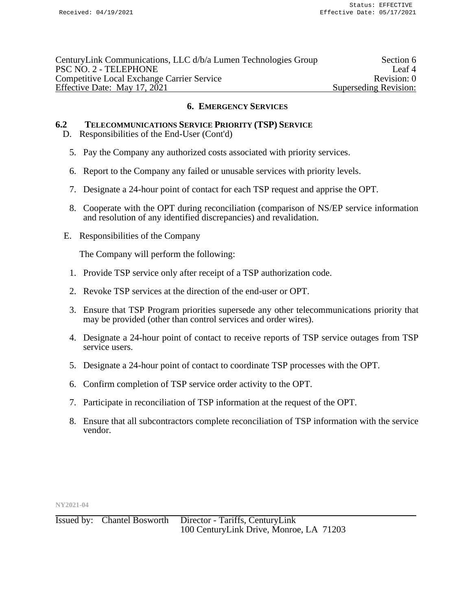| CenturyLink Communications, LLC d/b/a Lumen Technologies Group | Section 6             |
|----------------------------------------------------------------|-----------------------|
| PSC NO. 2 - TELEPHONE                                          | Leaf <sup>4</sup>     |
| <b>Competitive Local Exchange Carrier Service</b>              | Revision: 0           |
| Effective Date: May 17, 2021                                   | Superseding Revision: |

# **6.2 TELECOMMUNICATIONS SERVICE PRIORITY (TSP) SERVICE**

- D. Responsibilities of the End-User (Cont'd)
	- 5. Pay the Company any authorized costs associated with priority services.
	- 6. Report to the Company any failed or unusable services with priority levels.
	- 7. Designate a 24-hour point of contact for each TSP request and apprise the OPT.
	- 8. Cooperate with the OPT during reconciliation (comparison of NS/EP service information and resolution of any identified discrepancies) and revalidation.
- E. Responsibilities of the Company

The Company will perform the following:

- 1. Provide TSP service only after receipt of a TSP authorization code.
- 2. Revoke TSP services at the direction of the end-user or OPT.
- 3. Ensure that TSP Program priorities supersede any other telecommunications priority that may be provided (other than control services and order wires).
- 4. Designate a 24-hour point of contact to receive reports of TSP service outages from TSP service users.
- 5. Designate a 24-hour point of contact to coordinate TSP processes with the OPT.
- 6. Confirm completion of TSP service order activity to the OPT.
- 7. Participate in reconciliation of TSP information at the request of the OPT.
- 8. Ensure that all subcontractors complete reconciliation of TSP information with the service vendor.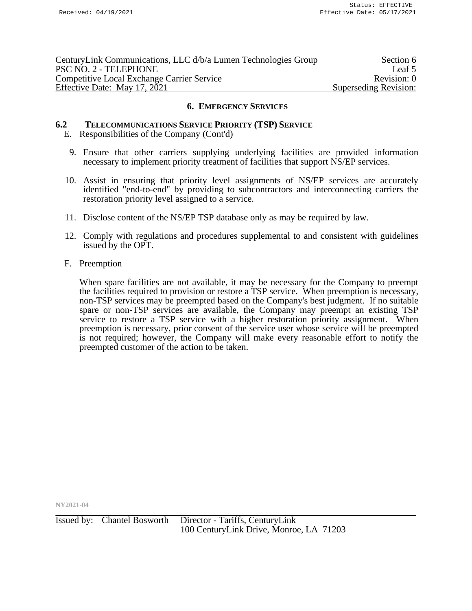| CenturyLink Communications, LLC d/b/a Lumen Technologies Group | Section 6             |
|----------------------------------------------------------------|-----------------------|
| PSC NO. 2 - TELEPHONE                                          | Leaf 5                |
| <b>Competitive Local Exchange Carrier Service</b>              | Revision: 0           |
| Effective Date: May 17, 2021                                   | Superseding Revision: |

## **6.2 TELECOMMUNICATIONS SERVICE PRIORITY (TSP) SERVICE**

- E. Responsibilities of the Company (Cont'd)
	- 9. Ensure that other carriers supplying underlying facilities are provided information necessary to implement priority treatment of facilities that support NS/EP services.
- 10. Assist in ensuring that priority level assignments of NS/EP services are accurately identified "end-to-end" by providing to subcontractors and interconnecting carriers the restoration priority level assigned to a service.
- 11. Disclose content of the NS/EP TSP database only as may be required by law.
- 12. Comply with regulations and procedures supplemental to and consistent with guidelines issued by the OPT.
- F. Preemption

When spare facilities are not available, it may be necessary for the Company to preempt the facilities required to provision or restore a TSP service. When preemption is necessary, non-TSP services may be preempted based on the Company's best judgment. If no suitable spare or non-TSP services are available, the Company may preempt an existing TSP service to restore a TSP service with a higher restoration priority assignment. When preemption is necessary, prior consent of the service user whose service will be preempted is not required; however, the Company will make every reasonable effort to notify the preempted customer of the action to be taken.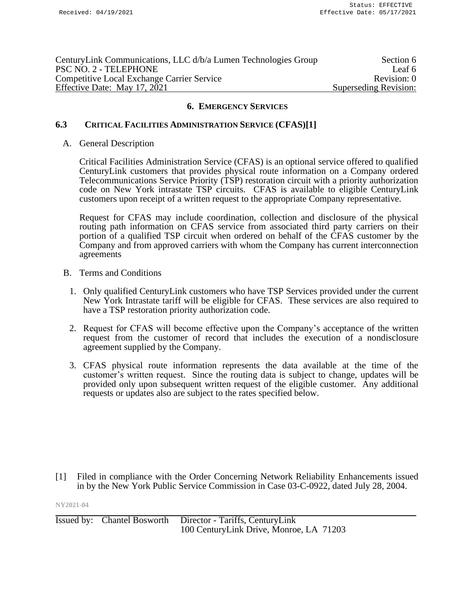| CenturyLink Communications, LLC d/b/a Lumen Technologies Group | Section 6             |
|----------------------------------------------------------------|-----------------------|
| PSC NO. 2 - TELEPHONE                                          | Leaf 6                |
| <b>Competitive Local Exchange Carrier Service</b>              | Revision: 0           |
| Effective Date: May 17, 2021                                   | Superseding Revision: |

# **6.3 CRITICAL FACILITIES ADMINISTRATION SERVICE (CFAS)[1]**

#### A. General Description

Critical Facilities Administration Service (CFAS) is an optional service offered to qualified CenturyLink customers that provides physical route information on a Company ordered Telecommunications Service Priority (TSP) restoration circuit with a priority authorization code on New York intrastate TSP circuits. CFAS is available to eligible CenturyLink customers upon receipt of a written request to the appropriate Company representative.

Request for CFAS may include coordination, collection and disclosure of the physical routing path information on CFAS service from associated third party carriers on their portion of a qualified TSP circuit when ordered on behalf of the CFAS customer by the Company and from approved carriers with whom the Company has current interconnection agreements

- B. Terms and Conditions
	- 1. Only qualified CenturyLink customers who have TSP Services provided under the current New York Intrastate tariff will be eligible for CFAS. These services are also required to have a TSP restoration priority authorization code.
	- 2. Request for CFAS will become effective upon the Company's acceptance of the written request from the customer of record that includes the execution of a nondisclosure agreement supplied by the Company.
	- 3. CFAS physical route information represents the data available at the time of the customer's written request. Since the routing data is subject to change, updates will be provided only upon subsequent written request of the eligible customer. Any additional requests or updates also are subject to the rates specified below.

[1] Filed in compliance with the Order Concerning Network Reliability Enhancements issued in by the New York Public Service Commission in Case 03-C-0922, dated July 28, 2004.